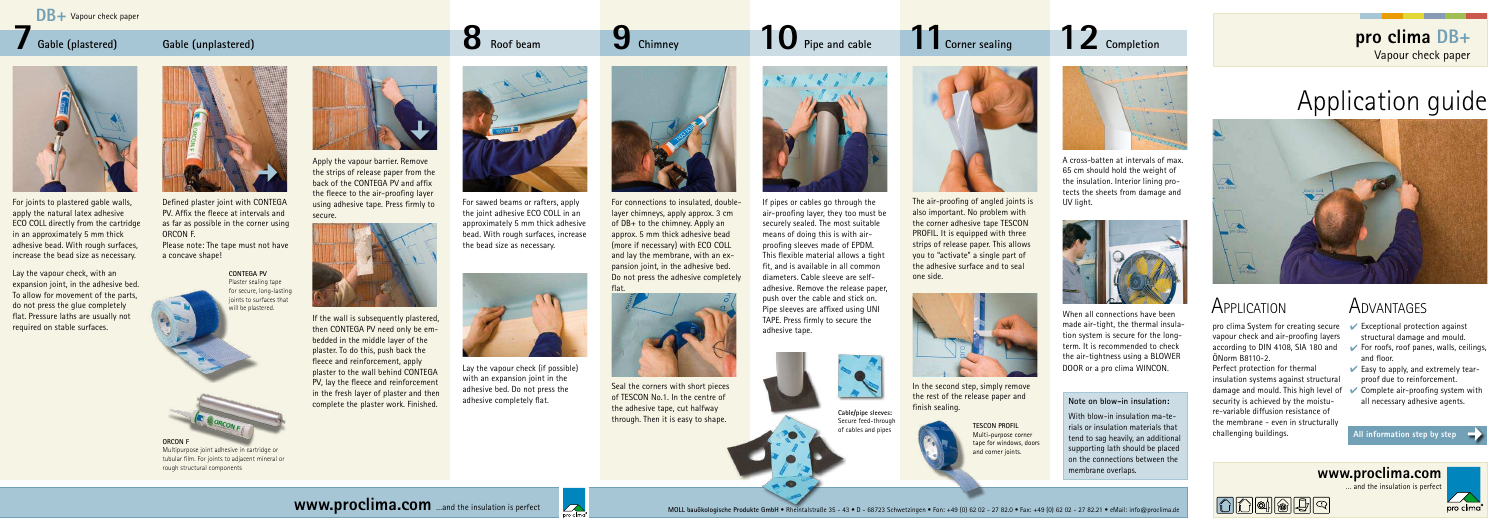Multipurpose joint adhesive in cartridge or tubular film. For joints to adjacent mineral or rough structural components

# Application guide



**pro clima DB+** Vapour check paper



pro clima System for creating secure vapour check and air-proofing layers according to DIN 4108, SIA 180 and ÖNorm B8110-2.

- $\triangleright$  Exceptional protection against structural damage and mould.
- For roofs, roof panes, walls, ceilings, and floor.
- $\vee$  Easy to apply, and extremely tearproof due to reinforcement.
- Complete air-proofing system with all necessary adhesive agents.

Perfect protection for thermal insulation systems against structural damage and mould. This high level of security is achieved by the moisture-variable diffusion resistance of the membrane - even in structurally challenging buildings.

 $\Omega$  $\Omega$ |0||0||0||5||9|

# APPLICATION ADVANTAGES

# **Corner sealing 9** Chimney **10** Pipe and cable **11** Corner sealing 12



In the second step, simply remove the rest of the release paper and finish sealing.



When all connections have been made air-tight, the thermal insulation system is secure for the longterm. It is recommended to check the air-tightness using a BLOWER DOOR or a pro clima WINCON.

The air-proofing of angled joints is also important. No problem with the corner adhesive tape TESCON PROFIL. It is equipped with three strips of release paper. This allows you to "activate" a single part of the adhesive surface and to seal one side.



# **7** Gable (plastered) **8** Gable (unplastered) **8 Gable (unplastered)**

For connections to insulated, doublelayer chimneys, apply approx. 3 cm of DB+ to the chimney. Apply an approx. 5 mm thick adhesive bead (more if necessary) with ECO COLL and lay the membrane, with an expansion joint, in the adhesive bed. Do not press the adhesive completely flat.



Seal the corners with short pieces of TESCON No.1. In the centre of the adhesive tape, cut halfway through. Then it is easy to shape.





For sawed beams or rafters, apply the joint adhesive ECO COLL in an approximately 5 mm thick adhesive bead. With rough surfaces, increase the bead size as necessary.



Lay the vapour check (if possible) with an expansion joint in the adhesive bed. Do not press the adhesive completely flat.



### **Gable (plastered)**



Defined plaster joint with CONTEGA PV. Affix the fleece at intervals and as far as possible in the corner using ORCON F.

Please note: The tape must not have a concave shape!

Apply the vapour barrier. Remove the strips of release paper from the back of the CONTEGA PV and affix the fleece to the air-proofing layer using adhesive tape. Press firmly to secure.



**All information step by step**  ¢

If the wall is subsequently plastered, then CONTEGA PV need only be embedded in the middle layer of the plaster. To do this, push back the fleece and reinforcement, apply plaster to the wall behind CONTEGA PV, lay the fleece and reinforcement in the fresh layer of plaster and then complete the plaster work. Finished.



For joints to plastered gable walls, apply the natural latex adhesive ECO COLL directly from the cartridge in an approximately 5 mm thick adhesive bead. With rough surfaces, increase the bead size as necessary.

Lay the vapour check, with an expansion joint, in the adhesive bed. To allow for movement of the parts, do not press the glue completely flat. Pressure laths are usually not required on stable surfaces.

### **Note on blow-in insulation:**

With blow-in insulation ma-terials or insulation materials that tend to sag heavily, an additional supporting lath should be placed on the connections between the membrane overlaps.



**TESCON PROFIL** Multi-purpose corner tape for windows, doors and corner joints.



12 Completion

If pipes or cables go through the air-proofing layer, they too must be securely sealed. The most suitable means of doing this is with airproofing sleeves made of EPDM. This flexible material allows a tight fit, and is available in all common diameters. Cable sleeve are selfadhesive. Remove the release paper, push over the cable and stick on. Pipe sleeves are affixed using UNI TAPE. Press firmly to secure the

adhesive tape.



### **Chimney Pipe and cable**



**Cable/pipe sleeves:** Secure feed-through

of cables and pipes







A cross-batten at intervals of max. 65 cm should hold the weight of the insulation. Interior lining protects the sheets from damage and UV light.